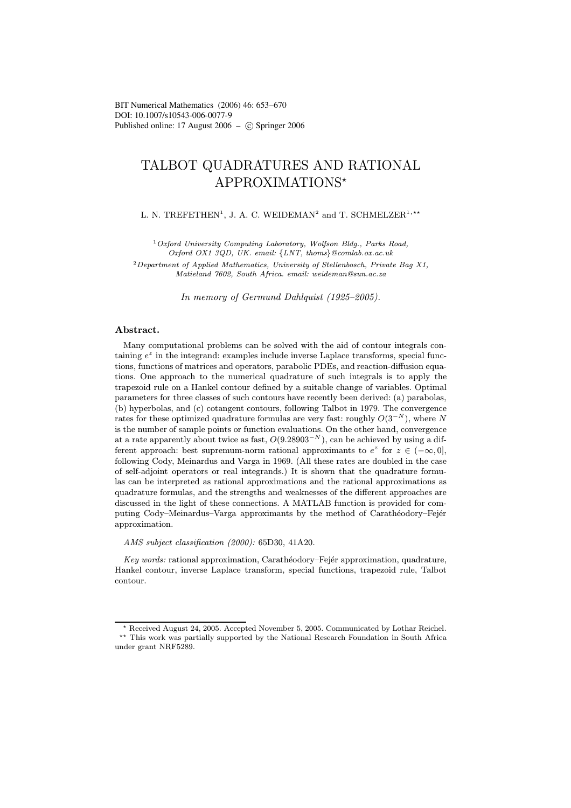# TALBOT QUADRATURES AND RATIONAL APPROXIMATIONS

L. N. TREFETHEN<sup>1</sup>, J. A. C. WEIDEMAN<sup>2</sup> and T. SCHMELZER<sup>1,\*\*</sup>

<sup>1</sup>Oxford University Computing Laboratory, Wolfson Bldg., Parks Road, Oxford OX1 3QD, UK. email: {LNT, thoms}@comlab.ox.ac.uk

<sup>2</sup> Department of Applied Mathematics, University of Stellenbosch, Private Bag X1, Matieland 7602, South Africa. email: weideman@sun.ac.za

In memory of Germund Dahlquist (1925–2005).

## Abstract.

Many computational problems can be solved with the aid of contour integrals containing  $e^z$  in the integrand: examples include inverse Laplace transforms, special functions, functions of matrices and operators, parabolic PDEs, and reaction-diffusion equations. One approach to the numerical quadrature of such integrals is to apply the trapezoid rule on a Hankel contour defined by a suitable change of variables. Optimal parameters for three classes of such contours have recently been derived: (a) parabolas, (b) hyperbolas, and (c) cotangent contours, following Talbot in 1979. The convergence rates for these optimized quadrature formulas are very fast: roughly  $O(3^{-N})$ , where N is the number of sample points or function evaluations. On the other hand, convergence at a rate apparently about twice as fast,  $O(9.28903^{-N})$ , can be achieved by using a different approach: best supremum-norm rational approximants to  $e^z$  for  $z \in (-\infty, 0]$ , following Cody, Meinardus and Varga in 1969. (All these rates are doubled in the case of self-adjoint operators or real integrands.) It is shown that the quadrature formulas can be interpreted as rational approximations and the rational approximations as quadrature formulas, and the strengths and weaknesses of the different approaches are discussed in the light of these connections. A MATLAB function is provided for computing Cody–Meinardus–Varga approximants by the method of Carathéodory–Fejér approximation.

AMS subject classification (2000): 65D30, 41A20.

Key words: rational approximation, Carathéodory–Fejér approximation, quadrature, Hankel contour, inverse Laplace transform, special functions, trapezoid rule, Talbot contour.

Received August 24, 2005. Accepted November 5, 2005. Communicated by Lothar Reichel.

<sup>\*\*</sup> This work was partially supported by the National Research Foundation in South Africa under grant NRF5289.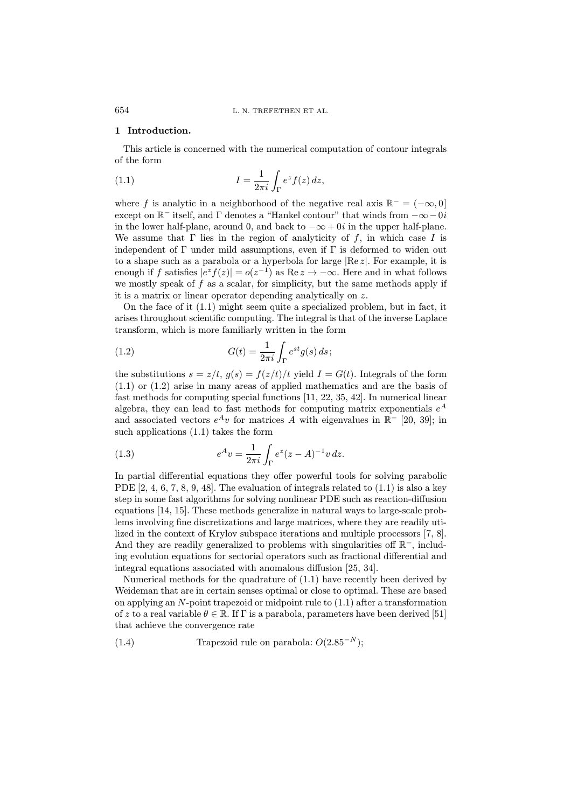## 1 Introduction.

This article is concerned with the numerical computation of contour integrals of the form

(1.1) 
$$
I = \frac{1}{2\pi i} \int_{\Gamma} e^z f(z) dz,
$$

where f is analytic in a neighborhood of the negative real axis  $\mathbb{R}^- = (-\infty, 0]$ except on  $\mathbb{R}^-$  itself, and  $\Gamma$  denotes a "Hankel contour" that winds from  $-\infty -0i$ in the lower half-plane, around 0, and back to  $-\infty + 0i$  in the upper half-plane. We assume that  $\Gamma$  lies in the region of analyticity of f, in which case I is independent of  $\Gamma$  under mild assumptions, even if  $\Gamma$  is deformed to widen out to a shape such as a parabola or a hyperbola for large  $Re z$ . For example, it is enough if f satisfies  $|e^z f(z)| = o(z^{-1})$  as  $\text{Re } z \to -\infty$ . Here and in what follows we mostly speak of  $f$  as a scalar, for simplicity, but the same methods apply if it is a matrix or linear operator depending analytically on z.

On the face of it (1.1) might seem quite a specialized problem, but in fact, it arises throughout scientific computing. The integral is that of the inverse Laplace transform, which is more familiarly written in the form

(1.2) 
$$
G(t) = \frac{1}{2\pi i} \int_{\Gamma} e^{st} g(s) ds;
$$

the substitutions  $s = z/t$ ,  $q(s) = f(z/t)/t$  yield  $I = G(t)$ . Integrals of the form (1.1) or (1.2) arise in many areas of applied mathematics and are the basis of fast methods for computing special functions [11, 22, 35, 42]. In numerical linear algebra, they can lead to fast methods for computing matrix exponentials  $e^A$ and associated vectors  $e^{A}v$  for matrices A with eigenvalues in  $\mathbb{R}^{-}$  [20, 39]; in such applications (1.1) takes the form

(1.3) 
$$
e^{A}v = \frac{1}{2\pi i} \int_{\Gamma} e^{z} (z - A)^{-1} v dz.
$$

In partial differential equations they offer powerful tools for solving parabolic PDE [2, 4, 6, 7, 8, 9, 48]. The evaluation of integrals related to  $(1.1)$  is also a key step in some fast algorithms for solving nonlinear PDE such as reaction-diffusion equations [14, 15]. These methods generalize in natural ways to large-scale problems involving fine discretizations and large matrices, where they are readily utilized in the context of Krylov subspace iterations and multiple processors [7, 8]. And they are readily generalized to problems with singularities off R<sup>−</sup>, including evolution equations for sectorial operators such as fractional differential and integral equations associated with anomalous diffusion [25, 34].

Numerical methods for the quadrature of (1.1) have recently been derived by Weideman that are in certain senses optimal or close to optimal. These are based on applying an  $N$ -point trapezoid or midpoint rule to  $(1.1)$  after a transformation of z to a real variable  $\theta \in \mathbb{R}$ . If  $\Gamma$  is a parabola, parameters have been derived [51] that achieve the convergence rate

(1.4) Trapezoid rule on parabola: 
$$
O(2.85^{-N});
$$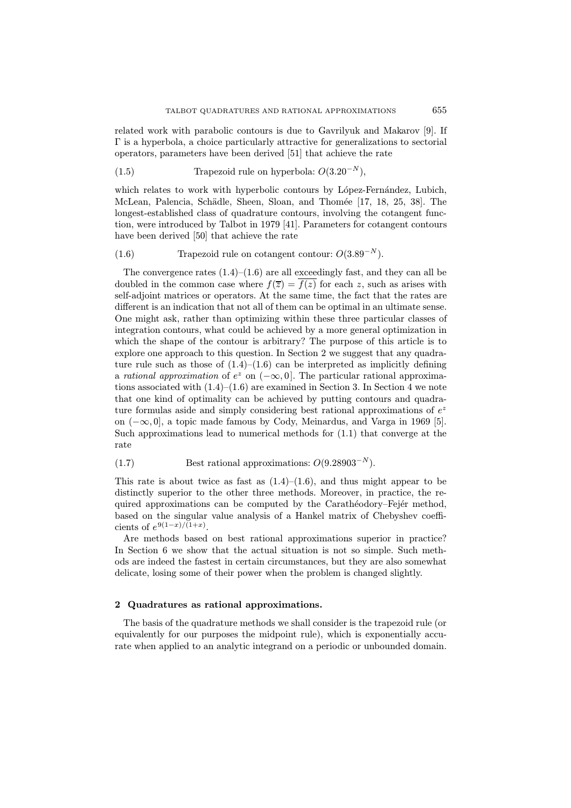related work with parabolic contours is due to Gavrilyuk and Makarov [9]. If Γ is a hyperbola, a choice particularly attractive for generalizations to sectorial operators, parameters have been derived [51] that achieve the rate

(1.5) Trapezoid rule on hyperbola:  $O(3.20^{-N})$ ,

which relates to work with hyperbolic contours by López-Fernández, Lubich, McLean, Palencia, Schädle, Sheen, Sloan, and Thomée [17, 18, 25, 38]. The longest-established class of quadrature contours, involving the cotangent function, were introduced by Talbot in 1979 [41]. Parameters for cotangent contours have been derived [50] that achieve the rate

 $(T.6)$  Trapezoid rule on cotangent contour:  $O(3.89^{-N}).$ 

The convergence rates  $(1.4)$ – $(1.6)$  are all exceedingly fast, and they can all be doubled in the common case where  $f(\overline{z}) = \overline{f(z)}$  for each z, such as arises with self-adjoint matrices or operators. At the same time, the fact that the rates are different is an indication that not all of them can be optimal in an ultimate sense. One might ask, rather than optimizing within these three particular classes of integration contours, what could be achieved by a more general optimization in which the shape of the contour is arbitrary? The purpose of this article is to explore one approach to this question. In Section 2 we suggest that any quadrature rule such as those of  $(1.4)$ – $(1.6)$  can be interpreted as implicitly defining a rational approximation of  $e^z$  on  $(-\infty, 0]$ . The particular rational approximations associated with  $(1.4)$ – $(1.6)$  are examined in Section 3. In Section 4 we note that one kind of optimality can be achieved by putting contours and quadrature formulas aside and simply considering best rational approximations of  $e^z$ on (−∞, 0], a topic made famous by Cody, Meinardus, and Varga in 1969 [5]. Such approximations lead to numerical methods for (1.1) that converge at the rate

 $Best$  rational approximations:  $O(9.28903^{-N}).$ 

This rate is about twice as fast as  $(1.4)$ – $(1.6)$ , and thus might appear to be distinctly superior to the other three methods. Moreover, in practice, the required approximations can be computed by the Carathéodory–Fejér method, based on the singular value analysis of a Hankel matrix of Chebyshev coefficients of  $e^{9(1-x)/(1+x)}$ .

Are methods based on best rational approximations superior in practice? In Section 6 we show that the actual situation is not so simple. Such methods are indeed the fastest in certain circumstances, but they are also somewhat delicate, losing some of their power when the problem is changed slightly.

### 2 Quadratures as rational approximations.

The basis of the quadrature methods we shall consider is the trapezoid rule (or equivalently for our purposes the midpoint rule), which is exponentially accurate when applied to an analytic integrand on a periodic or unbounded domain.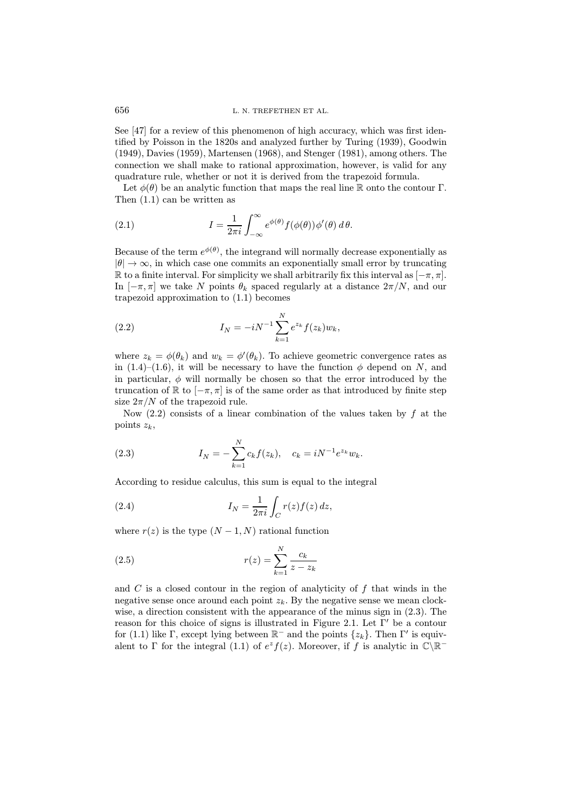See [47] for a review of this phenomenon of high accuracy, which was first identified by Poisson in the 1820s and analyzed further by Turing (1939), Goodwin (1949), Davies (1959), Martensen (1968), and Stenger (1981), among others. The connection we shall make to rational approximation, however, is valid for any quadrature rule, whether or not it is derived from the trapezoid formula.

Let  $\phi(\theta)$  be an analytic function that maps the real line R onto the contour Γ. Then (1.1) can be written as

(2.1) 
$$
I = \frac{1}{2\pi i} \int_{-\infty}^{\infty} e^{\phi(\theta)} f(\phi(\theta)) \phi'(\theta) d\theta.
$$

Because of the term  $e^{\phi(\theta)}$ , the integrand will normally decrease exponentially as  $|\theta| \to \infty$ , in which case one commits an exponentially small error by truncating R to a finite interval. For simplicity we shall arbitrarily fix this interval as  $[-\pi, \pi]$ . In  $[-\pi, \pi]$  we take N points  $\theta_k$  spaced regularly at a distance  $2\pi/N$ , and our trapezoid approximation to (1.1) becomes

(2.2) 
$$
I_N = -iN^{-1} \sum_{k=1}^N e^{z_k} f(z_k) w_k,
$$

where  $z_k = \phi(\theta_k)$  and  $w_k = \phi'(\theta_k)$ . To achieve geometric convergence rates as in (1.4)–(1.6), it will be necessary to have the function  $\phi$  depend on N, and in particular,  $\phi$  will normally be chosen so that the error introduced by the truncation of  $\mathbb R$  to  $[-\pi, \pi]$  is of the same order as that introduced by finite step size  $2\pi/N$  of the trapezoid rule.

Now  $(2.2)$  consists of a linear combination of the values taken by f at the points  $z_k$ ,

(2.3) 
$$
I_N = -\sum_{k=1}^N c_k f(z_k), \quad c_k = iN^{-1}e^{z_k}w_k.
$$

According to residue calculus, this sum is equal to the integral

(2.4) 
$$
I_N = \frac{1}{2\pi i} \int_C r(z) f(z) dz,
$$

where  $r(z)$  is the type  $(N-1, N)$  rational function

(2.5) 
$$
r(z) = \sum_{k=1}^{N} \frac{c_k}{z - z_k}
$$

and  $C$  is a closed contour in the region of analyticity of  $f$  that winds in the negative sense once around each point  $z_k$ . By the negative sense we mean clockwise, a direction consistent with the appearance of the minus sign in (2.3). The reason for this choice of signs is illustrated in Figure 2.1. Let  $\Gamma'$  be a contour for (1.1) like  $\Gamma$ , except lying between  $\mathbb{R}^-$  and the points  $\{z_k\}$ . Then  $\Gamma'$  is equivalent to Γ for the integral (1.1) of  $e^z f(z)$ . Moreover, if f is analytic in  $\mathbb{C}\backslash\mathbb{R}^-$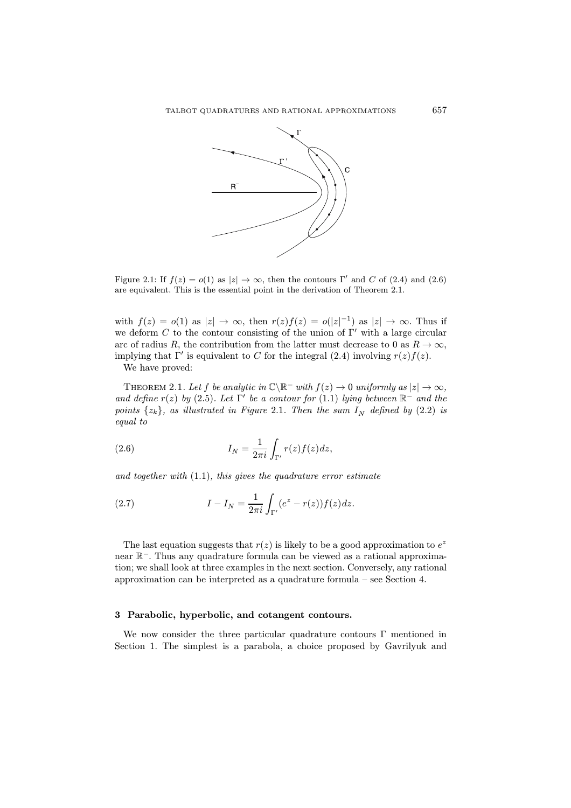

Figure 2.1: If  $f(z) = o(1)$  as  $|z| \to \infty$ , then the contours Γ' and C of (2.4) and (2.6) are equivalent. This is the essential point in the derivation of Theorem 2.1.

with  $f(z) = o(1)$  as  $|z| \to \infty$ , then  $r(z)f(z) = o(|z|^{-1})$  as  $|z| \to \infty$ . Thus if we deform C to the contour consisting of the union of  $\Gamma'$  with a large circular arc of radius R, the contribution from the latter must decrease to 0 as  $R \to \infty$ , implying that  $\Gamma'$  is equivalent to C for the integral (2.4) involving  $r(z)f(z)$ .

We have proved:

THEOREM 2.1. Let f be analytic in  $\mathbb{C}\backslash\mathbb{R}^-$  with  $f(z) \to 0$  uniformly as  $|z| \to \infty$ , and define  $r(z)$  by (2.5). Let  $\Gamma'$  be a contour for (1.1) lying between  $\mathbb{R}^-$  and the points  $\{z_k\}$ , as illustrated in Figure 2.1. Then the sum  $I_N$  defined by (2.2) is equal to

(2.6) 
$$
I_N = \frac{1}{2\pi i} \int_{\Gamma'} r(z) f(z) dz,
$$

and together with  $(1.1)$ , this gives the quadrature error estimate

(2.7) 
$$
I - I_N = \frac{1}{2\pi i} \int_{\Gamma'} (e^z - r(z)) f(z) dz.
$$

The last equation suggests that  $r(z)$  is likely to be a good approximation to  $e^z$ near R<sup>−</sup>. Thus any quadrature formula can be viewed as a rational approximation; we shall look at three examples in the next section. Conversely, any rational approximation can be interpreted as a quadrature formula – see Section 4.

#### 3 Parabolic, hyperbolic, and cotangent contours.

We now consider the three particular quadrature contours  $\Gamma$  mentioned in Section 1. The simplest is a parabola, a choice proposed by Gavrilyuk and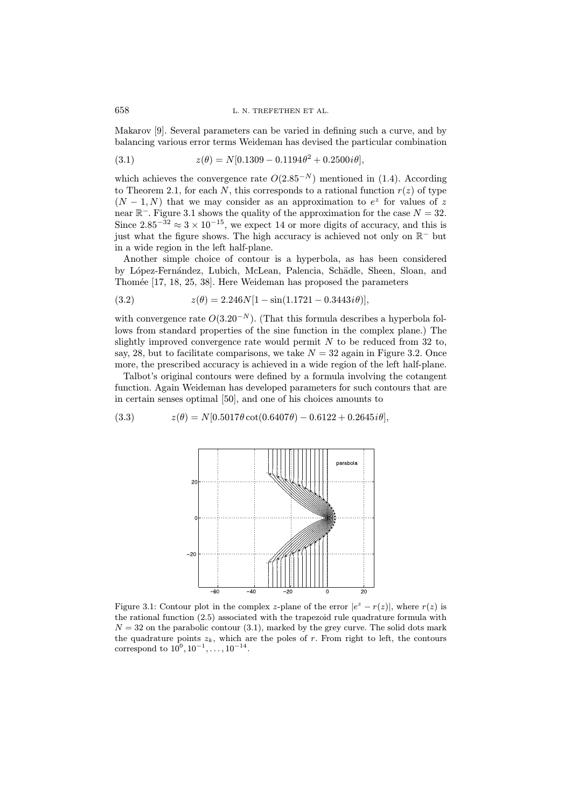Makarov [9]. Several parameters can be varied in defining such a curve, and by balancing various error terms Weideman has devised the particular combination

(3.1) 
$$
z(\theta) = N[0.1309 - 0.1194\theta^2 + 0.2500i\theta],
$$

which achieves the convergence rate  $O(2.85^{-N})$  mentioned in (1.4). According to Theorem 2.1, for each N, this corresponds to a rational function  $r(z)$  of type  $(N-1, N)$  that we may consider as an approximation to  $e^z$  for values of z near  $\mathbb{R}^-$ . Figure 3.1 shows the quality of the approximation for the case  $N = 32$ . Since  $2.85^{-32} \approx 3 \times 10^{-15}$ , we expect 14 or more digits of accuracy, and this is just what the figure shows. The high accuracy is achieved not only on R<sup>−</sup> but in a wide region in the left half-plane.

Another simple choice of contour is a hyperbola, as has been considered by López-Fernández, Lubich, McLean, Palencia, Schädle, Sheen, Sloan, and Thomée [17, 18, 25, 38]. Here Weideman has proposed the parameters

(3.2) 
$$
z(\theta) = 2.246N[1 - \sin(1.1721 - 0.3443i\theta)],
$$

with convergence rate  $O(3.20^{-N})$ . (That this formula describes a hyperbola follows from standard properties of the sine function in the complex plane.) The slightly improved convergence rate would permit  $N$  to be reduced from 32 to, say, 28, but to facilitate comparisons, we take  $N = 32$  again in Figure 3.2. Once more, the prescribed accuracy is achieved in a wide region of the left half-plane.

Talbot's original contours were defined by a formula involving the cotangent function. Again Weideman has developed parameters for such contours that are in certain senses optimal [50], and one of his choices amounts to

(3.3) 
$$
z(\theta) = N[0.5017\theta \cot(0.6407\theta) - 0.6122 + 0.2645i\theta],
$$



Figure 3.1: Contour plot in the complex z-plane of the error  $|e^z - r(z)|$ , where  $r(z)$  is the rational function (2.5) associated with the trapezoid rule quadrature formula with  $N = 32$  on the parabolic contour (3.1), marked by the grey curve. The solid dots mark the quadrature points  $z_k$ , which are the poles of r. From right to left, the contours correspond to  $10^0, 10^{-1}, \ldots, 10^{-14}$ .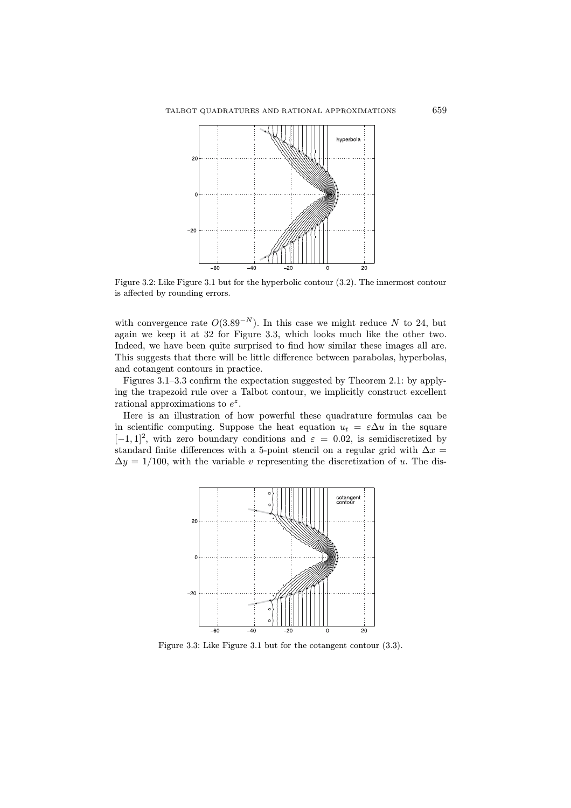

Figure 3.2: Like Figure 3.1 but for the hyperbolic contour (3.2). The innermost contour is affected by rounding errors.

with convergence rate  $O(3.89^{-N})$ . In this case we might reduce N to 24, but again we keep it at 32 for Figure 3.3, which looks much like the other two. Indeed, we have been quite surprised to find how similar these images all are. This suggests that there will be little difference between parabolas, hyperbolas, and cotangent contours in practice.

Figures 3.1–3.3 confirm the expectation suggested by Theorem 2.1: by applying the trapezoid rule over a Talbot contour, we implicitly construct excellent rational approximations to  $e^z$ .

Here is an illustration of how powerful these quadrature formulas can be in scientific computing. Suppose the heat equation  $u_t = \varepsilon \Delta u$  in the square  $[-1, 1]^2$ , with zero boundary conditions and  $\varepsilon = 0.02$ , is semidiscretized by standard finite differences with a 5-point stencil on a regular grid with  $\Delta x =$  $\Delta y = 1/100$ , with the variable v representing the discretization of u. The dis-



Figure 3.3: Like Figure 3.1 but for the cotangent contour (3.3).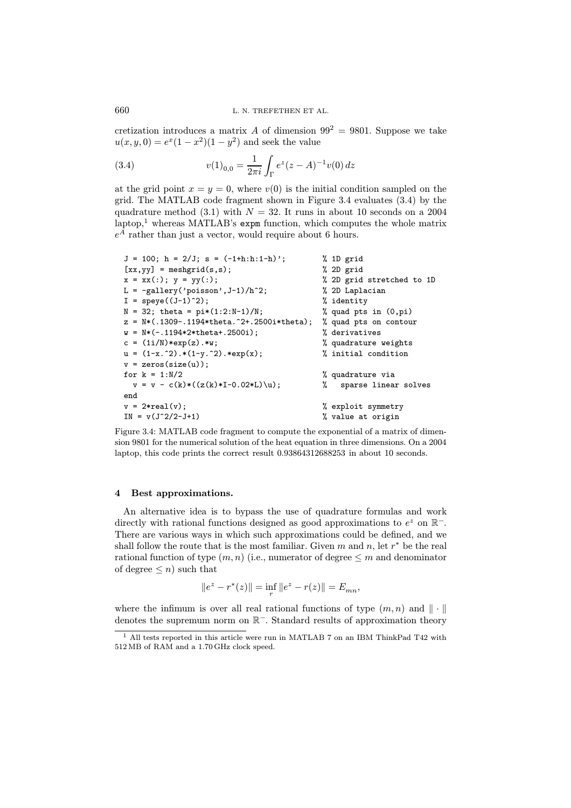cretization introduces a matrix A of dimension  $99^2 = 9801$ . Suppose we take  $u(x, y, 0) = e^x(1 - x^2)(1 - y^2)$  and seek the value

(3.4) 
$$
v(1)_{0,0} = \frac{1}{2\pi i} \int_{\Gamma} e^{z} (z - A)^{-1} v(0) dz
$$

at the grid point  $x = y = 0$ , where  $v(0)$  is the initial condition sampled on the grid. The MATLAB code fragment shown in Figure 3.4 evaluates (3.4) by the quadrature method (3.1) with  $N = 32$ . It runs in about 10 seconds on a 2004  $\lambda$ <sup>1</sup> whereas MATLAB's expm function, which computes the whole matrix  $e^A$  rather than just a vector, would require about 6 hours.

| $J = 100$ ; $h = 2/J$ ; $s = (-1+h:h:1-h)$ ;  | % 1D grid                 |
|-----------------------------------------------|---------------------------|
| $[xx, yy] = meshgrid(s, s);$                  | % 2D grid                 |
| $x = xx(:); y = yy(:);$                       | % 2D grid stretched to 1D |
| L = $-gallery('poisson', J-1)/h^2;$           | % 2D Laplacian            |
| $I = \text{spec}((J-1)^2)$ ;                  | % identity                |
| $N = 32$ ; theta = $pi*(1:2:N-1)/N$ ;         | % quad pts in $(0, pi)$   |
| $z = N*(.1309-.1194*theta.^2+.2500i*theta)$ ; | % quad pts on contour     |
| $w = N*(-.1194*2*theta+.2500i);$              | % derivatives             |
| $c = (1i/N) * exp(z) . * w;$                  | % quadrature weights      |
| $u = (1-x.^2).*(1-y.^2).*exp(x);$             | % initial condition       |
| $v = zeros(size(u))$ ;                        |                           |
| for $k = 1:N/2$                               | % quadrature via          |
| $v = v - c(k) * ((z(k) * I - 0.02 * L) \u);$  | %<br>sparse linear solves |
| end                                           |                           |
| $v = 2*real(v);$                              | % exploit symmetry        |
| $IN = v(J^2/2 - J + 1)$                       | % value at origin         |
|                                               |                           |

Figure 3.4: MATLAB code fragment to compute the exponential of a matrix of dimension 9801 for the numerical solution of the heat equation in three dimensions. On a 2004 laptop, this code prints the correct result 0.93864312688253 in about 10 seconds.

#### 4 Best approximations.

An alternative idea is to bypass the use of quadrature formulas and work directly with rational functions designed as good approximations to  $e^z$  on  $\mathbb{R}^-$ . There are various ways in which such approximations could be defined, and we shall follow the route that is the most familiar. Given m and n, let  $r^*$  be the real rational function of type  $(m, n)$  (i.e., numerator of degree  $\leq m$  and denominator of degree  $\leq n$ ) such that

$$
||e^z - r^*(z)|| = \inf_r ||e^z - r(z)|| = E_{mn},
$$

where the infimum is over all real rational functions of type  $(m, n)$  and  $\|\cdot\|$ denotes the supremum norm on R<sup>−</sup>. Standard results of approximation theory

<sup>1</sup> All tests reported in this article were run in MATLAB 7 on an IBM ThinkPad T42 with 512 MB of RAM and a 1.70 GHz clock speed.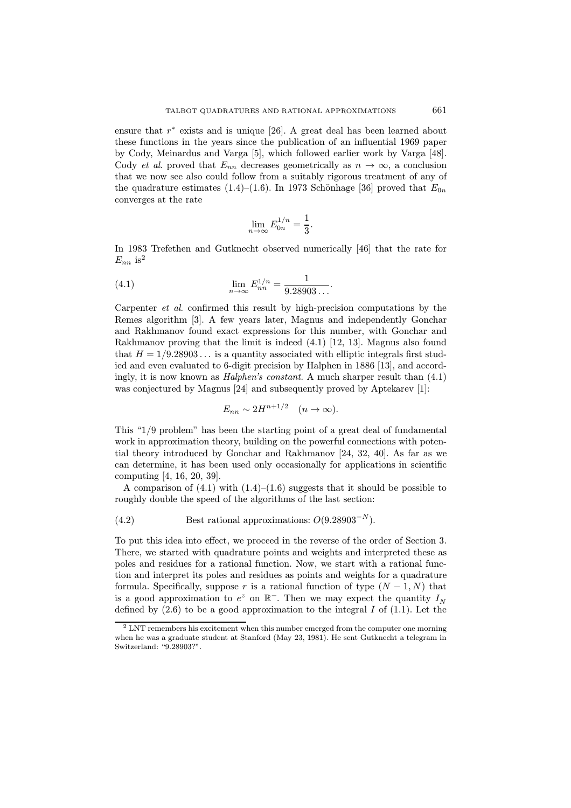ensure that  $r^*$  exists and is unique [26]. A great deal has been learned about these functions in the years since the publication of an influential 1969 paper by Cody, Meinardus and Varga [5], which followed earlier work by Varga [48]. Cody *et al.* proved that  $E_{nn}$  decreases geometrically as  $n \to \infty$ , a conclusion that we now see also could follow from a suitably rigorous treatment of any of the quadrature estimates (1.4)–(1.6). In 1973 Schönhage [36] proved that  $E_{0n}$ converges at the rate

$$
\lim_{n \to \infty} E_{0n}^{1/n} = \frac{1}{3}.
$$

In 1983 Trefethen and Gutknecht observed numerically [46] that the rate for  $E_{nn}$  is<sup>2</sup>

(4.1) 
$$
\lim_{n \to \infty} E_{nn}^{1/n} = \frac{1}{9.28903\dots}.
$$

Carpenter et al. confirmed this result by high-precision computations by the Remes algorithm [3]. A few years later, Magnus and independently Gonchar and Rakhmanov found exact expressions for this number, with Gonchar and Rakhmanov proving that the limit is indeed (4.1) [12, 13]. Magnus also found that  $H = 1/9.28903...$  is a quantity associated with elliptic integrals first studied and even evaluated to 6-digit precision by Halphen in 1886 [13], and accordingly, it is now known as *Halphen's constant*. A much sharper result than  $(4.1)$ was conjectured by Magnus [24] and subsequently proved by Aptekarev [1]:

$$
E_{nn} \sim 2H^{n+1/2} \quad (n \to \infty).
$$

This "1/9 problem" has been the starting point of a great deal of fundamental work in approximation theory, building on the powerful connections with potential theory introduced by Gonchar and Rakhmanov [24, 32, 40]. As far as we can determine, it has been used only occasionally for applications in scientific computing [4, 16, 20, 39].

A comparison of  $(4.1)$  with  $(1.4)$ – $(1.6)$  suggests that it should be possible to roughly double the speed of the algorithms of the last section:

(4.2) Best rational approximations: 
$$
O(9.28903^{-N}).
$$

To put this idea into effect, we proceed in the reverse of the order of Section 3. There, we started with quadrature points and weights and interpreted these as poles and residues for a rational function. Now, we start with a rational function and interpret its poles and residues as points and weights for a quadrature formula. Specifically, suppose r is a rational function of type  $(N-1, N)$  that is a good approximation to  $e^z$  on  $\mathbb{R}^-$ . Then we may expect the quantity  $I_N$ defined by  $(2.6)$  to be a good approximation to the integral I of  $(1.1)$ . Let the

<sup>&</sup>lt;sup>2</sup> LNT remembers his excitement when this number emerged from the computer one morning when he was a graduate student at Stanford (May 23, 1981). He sent Gutknecht a telegram in Switzerland: "9.28903?".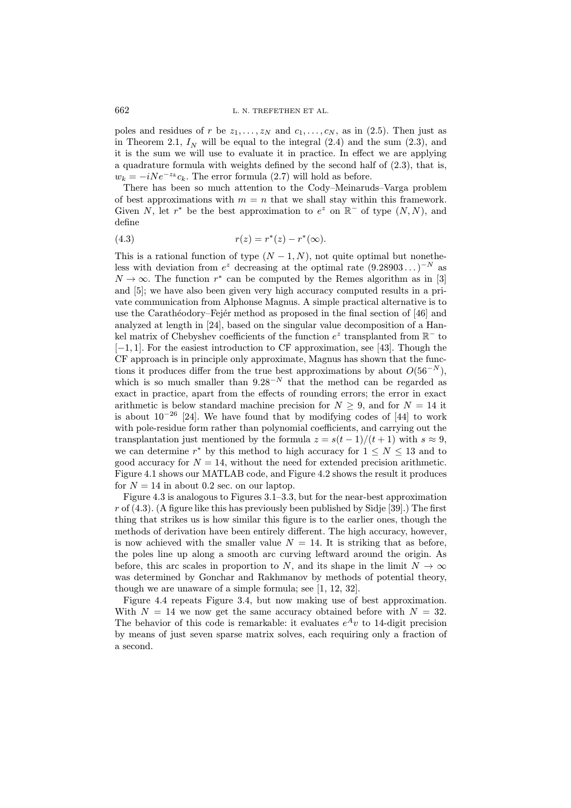poles and residues of r be  $z_1, \ldots, z_N$  and  $c_1, \ldots, c_N$ , as in (2.5). Then just as in Theorem 2.1,  $I<sub>N</sub>$  will be equal to the integral (2.4) and the sum (2.3), and it is the sum we will use to evaluate it in practice. In effect we are applying a quadrature formula with weights defined by the second half of (2.3), that is,  $w_k = -iNe^{-z_k}c_k$ . The error formula (2.7) will hold as before.

There has been so much attention to the Cody–Meinaruds–Varga problem of best approximations with  $m = n$  that we shall stay within this framework. Given N, let  $r^*$  be the best approximation to  $e^z$  on  $\mathbb{R}^-$  of type  $(N, N)$ , and define

(4.3) 
$$
r(z) = r^*(z) - r^*(\infty).
$$

This is a rational function of type  $(N-1, N)$ , not quite optimal but nonetheless with deviation from  $e^z$  decreasing at the optimal rate  $(9.28903...)^{-N}$  as  $N \to \infty$ . The function r<sup>\*</sup> can be computed by the Remes algorithm as in [3] and [5]; we have also been given very high accuracy computed results in a private communication from Alphonse Magnus. A simple practical alternative is to use the Carathéodory–Fejér method as proposed in the final section of [46] and analyzed at length in [24], based on the singular value decomposition of a Hankel matrix of Chebyshev coefficients of the function  $e^z$  transplanted from  $\mathbb{R}^-$  to [−1, 1]. For the easiest introduction to CF approximation, see [43]. Though the CF approach is in principle only approximate, Magnus has shown that the functions it produces differ from the true best approximations by about  $O(56^{-N})$ , which is so much smaller than  $9.28^{-N}$  that the method can be regarded as exact in practice, apart from the effects of rounding errors; the error in exact arithmetic is below standard machine precision for  $N \geq 9$ , and for  $N = 14$  it is about  $10^{-26}$  [24]. We have found that by modifying codes of [44] to work with pole-residue form rather than polynomial coefficients, and carrying out the transplantation just mentioned by the formula  $z = s(t-1)/(t+1)$  with  $s \approx 9$ , we can determine r<sup>\*</sup> by this method to high accuracy for  $1 \leq N \leq 13$  and to good accuracy for  $N = 14$ , without the need for extended precision arithmetic. Figure 4.1 shows our MATLAB code, and Figure 4.2 shows the result it produces for  $N = 14$  in about 0.2 sec. on our laptop.

Figure 4.3 is analogous to Figures 3.1–3.3, but for the near-best approximation r of  $(4.3)$ . (A figure like this has previously been published by Sidje [39].) The first thing that strikes us is how similar this figure is to the earlier ones, though the methods of derivation have been entirely different. The high accuracy, however, is now achieved with the smaller value  $N = 14$ . It is striking that as before, the poles line up along a smooth arc curving leftward around the origin. As before, this arc scales in proportion to N, and its shape in the limit  $N \to \infty$ was determined by Gonchar and Rakhmanov by methods of potential theory, though we are unaware of a simple formula; see [1, 12, 32].

Figure 4.4 repeats Figure 3.4, but now making use of best approximation. With  $N = 14$  we now get the same accuracy obtained before with  $N = 32$ . The behavior of this code is remarkable: it evaluates  $e^{A}v$  to 14-digit precision by means of just seven sparse matrix solves, each requiring only a fraction of a second.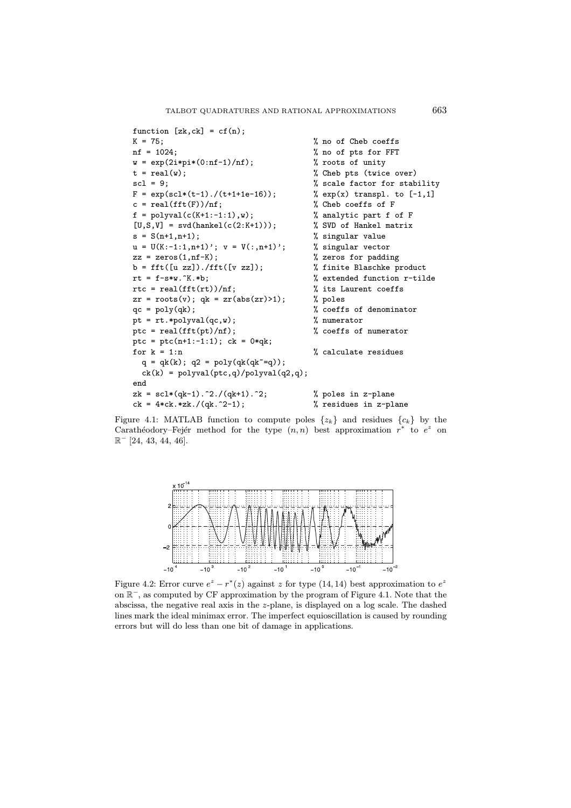```
function [zk, ck] = cf(n);K = 75; \% no of Cheb coeffs
nf = 1024; \% no of pts for FFT
w = exp(2i * pi * (0:nf-1)/nf); % roots of unity
t = real(w);<br>
% Theorem % Theorem % Theoremscl = 9; \% scale factor for stability
F = exp(scl*(t-1)./(t+1+1e-16)); % exp(x) transpl. to [-1,1]
c = \text{real}(\text{fft}(F))/\text{nf}; % Cheb coeffs of F
f = polyval(c(K+1:-1:1), w); % analytic part f of F
[U, S, V] = \text{svd}(\text{hankel}(c(2:K+1))); % SVD of Hankel matrix
s = S(n+1,n+1); <br> % singular value
u = U(K:-1:1,n+1); v = V(:,n+1); % singular vector
zz = zeros(1, nf-K); % zeros for padding
b = fft([u zz]), / fft([v zz]); % finite Blaschke product
rt = f-s*y \cdot K.*b; % extended function r-tilde
rtc = real(fft(rt))/nf; \frac{1}{2} its Laurent coeffs
zr = roots(v); qk = zr(abs(zr) > 1); % poles
qc = poly(qk); % coeffs of denominator
pt = rt.*polyval(qc,w); % numerator
ptc = real(fft(pt)/nf); <br> % coeffs of numerator
ptc = ptc(n+1:-1:1); ck = 0*qk;for k = 1:n % calculate residues
 q = qk(k); q2 = poly(qk(qk^2=q));ck(k) = polyval(ptc,q)/polyval(q2,q);end
zk = \text{sc1}*(qk-1) \cdot 2.7(qk+1) \cdot 2; % poles in z-plane
ck = 4 * ck.*zk./(qk.^2-1); % residues in z-plane
```
Figure 4.1: MATLAB function to compute poles  $\{z_k\}$  and residues  $\{c_k\}$  by the Carathéodory–Fejér method for the type  $(n, n)$  best approximation  $r^*$  to  $e^z$  on  $\mathbb{R}^-$  [24, 43, 44, 46].



Figure 4.2: Error curve  $e^{z} - r^{*}(z)$  against z for type (14, 14) best approximation to  $e^{z}$ on R<sup>−</sup>, as computed by CF approximation by the program of Figure 4.1. Note that the abscissa, the negative real axis in the z-plane, is displayed on a log scale. The dashed lines mark the ideal minimax error. The imperfect equioscillation is caused by rounding errors but will do less than one bit of damage in applications.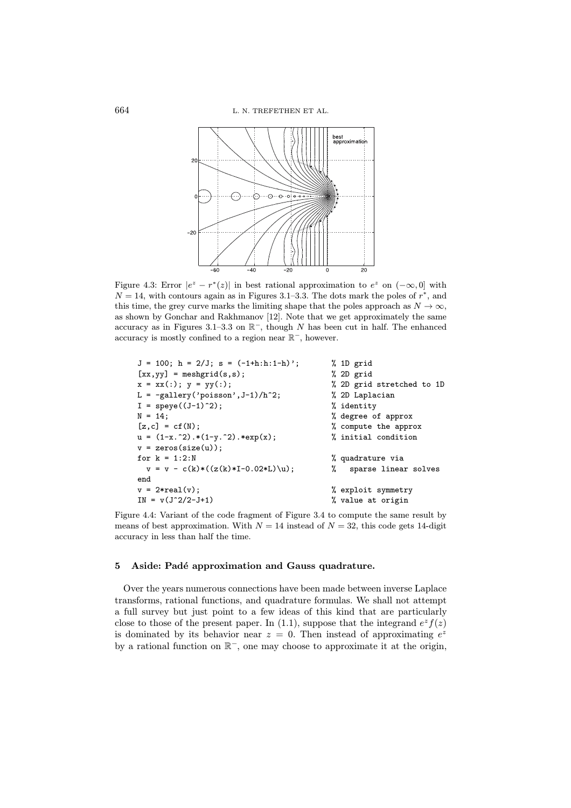

Figure 4.3: Error  $|e^z - r^*(z)|$  in best rational approximation to  $e^z$  on  $(-\infty, 0]$  with  $N = 14$ , with contours again as in Figures 3.1–3.3. The dots mark the poles of  $r^*$ , and this time, the grey curve marks the limiting shape that the poles approach as  $N \to \infty$ , as shown by Gonchar and Rakhmanov [12]. Note that we get approximately the same accuracy as in Figures 3.1–3.3 on  $\mathbb{R}^-$ , though N has been cut in half. The enhanced accuracy is mostly confined to a region near R<sup>−</sup>, however.

| $J = 100$ ; $h = 2/J$ ; $s = (-1+h:h:1-h)$ ; | % 1D grid                 |
|----------------------------------------------|---------------------------|
| $[xx, yy] = meshgrid(s, s);$                 | % 2D grid                 |
| $x = xx(:); y = yy(:);$                      | % 2D grid stretched to 1D |
| $L = -gallery('poisson', J-1)/h^2;$          | % 2D Laplacian            |
| $I = \text{spec}((J-1)^2);$                  | % identity                |
| $N = 14$ :                                   | % degree of approx        |
| $[z, c] = cf(N);$                            | % compute the approx      |
| $u = (1-x.^2).*(1-y.^2).*exp(x);$            | % initial condition       |
| $v = zeros(size(u))$ ;                       |                           |
| for $k = 1:2:N$                              | % quadrature via          |
| $v = v - c(k) * ((z(k) * I - 0.02 * L) \u);$ | sparse linear solves<br>% |
| end                                          |                           |
| $v = 2*real(v)$ ;                            | % exploit symmetry        |
| $IN = v(J^2/2-J+1)$                          | % value at origin         |
|                                              |                           |

Figure 4.4: Variant of the code fragment of Figure 3.4 to compute the same result by means of best approximation. With  $N = 14$  instead of  $N = 32$ , this code gets 14-digit accuracy in less than half the time.

## 5 Aside: Padé approximation and Gauss quadrature.

Over the years numerous connections have been made between inverse Laplace transforms, rational functions, and quadrature formulas. We shall not attempt a full survey but just point to a few ideas of this kind that are particularly close to those of the present paper. In (1.1), suppose that the integrand  $e^z f(z)$ is dominated by its behavior near  $z = 0$ . Then instead of approximating  $e^z$ by a rational function on R<sup>−</sup>, one may choose to approximate it at the origin,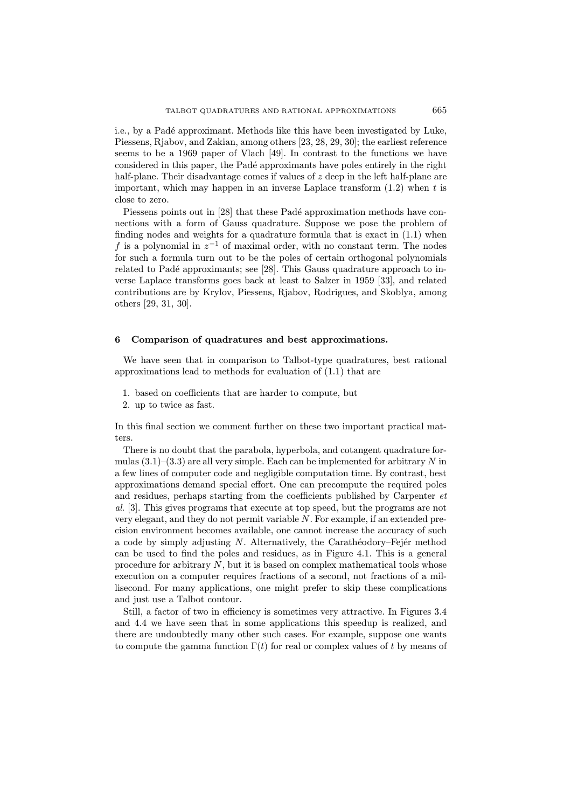i.e., by a Padé approximant. Methods like this have been investigated by Luke, Piessens, Rjabov, and Zakian, among others [23, 28, 29, 30]; the earliest reference seems to be a 1969 paper of Vlach [49]. In contrast to the functions we have considered in this paper, the Pad´e approximants have poles entirely in the right half-plane. Their disadvantage comes if values of z deep in the left half-plane are important, which may happen in an inverse Laplace transform  $(1.2)$  when t is close to zero.

Piessens points out in [28] that these Padé approximation methods have connections with a form of Gauss quadrature. Suppose we pose the problem of finding nodes and weights for a quadrature formula that is exact in (1.1) when f is a polynomial in  $z^{-1}$  of maximal order, with no constant term. The nodes for such a formula turn out to be the poles of certain orthogonal polynomials related to Padé approximants; see [28]. This Gauss quadrature approach to inverse Laplace transforms goes back at least to Salzer in 1959 [33], and related contributions are by Krylov, Piessens, Rjabov, Rodrigues, and Skoblya, among others [29, 31, 30].

## 6 Comparison of quadratures and best approximations.

We have seen that in comparison to Talbot-type quadratures, best rational approximations lead to methods for evaluation of (1.1) that are

- 1. based on coefficients that are harder to compute, but
- 2. up to twice as fast.

In this final section we comment further on these two important practical matters.

There is no doubt that the parabola, hyperbola, and cotangent quadrature formulas  $(3.1)$ – $(3.3)$  are all very simple. Each can be implemented for arbitrary N in a few lines of computer code and negligible computation time. By contrast, best approximations demand special effort. One can precompute the required poles and residues, perhaps starting from the coefficients published by Carpenter et al. [3]. This gives programs that execute at top speed, but the programs are not very elegant, and they do not permit variable N. For example, if an extended precision environment becomes available, one cannot increase the accuracy of such a code by simply adjusting  $N$ . Alternatively, the Carathéodory–Fejér method can be used to find the poles and residues, as in Figure 4.1. This is a general procedure for arbitrary N, but it is based on complex mathematical tools whose execution on a computer requires fractions of a second, not fractions of a millisecond. For many applications, one might prefer to skip these complications and just use a Talbot contour.

Still, a factor of two in efficiency is sometimes very attractive. In Figures 3.4 and 4.4 we have seen that in some applications this speedup is realized, and there are undoubtedly many other such cases. For example, suppose one wants to compute the gamma function  $\Gamma(t)$  for real or complex values of t by means of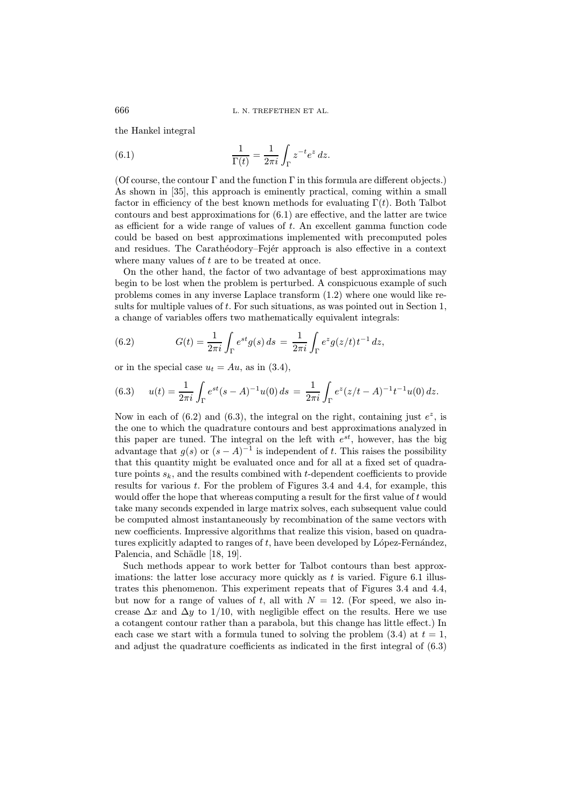the Hankel integral

(6.1) 
$$
\frac{1}{\Gamma(t)} = \frac{1}{2\pi i} \int_{\Gamma} z^{-t} e^{z} dz.
$$

(Of course, the contour  $\Gamma$  and the function  $\Gamma$  in this formula are different objects.) As shown in [35], this approach is eminently practical, coming within a small factor in efficiency of the best known methods for evaluating  $\Gamma(t)$ . Both Talbot contours and best approximations for (6.1) are effective, and the latter are twice as efficient for a wide range of values of  $t$ . An excellent gamma function code could be based on best approximations implemented with precomputed poles and residues. The Carathéodory–Fejér approach is also effective in a context where many values of  $t$  are to be treated at once.

On the other hand, the factor of two advantage of best approximations may begin to be lost when the problem is perturbed. A conspicuous example of such problems comes in any inverse Laplace transform (1.2) where one would like results for multiple values of t. For such situations, as was pointed out in Section 1, a change of variables offers two mathematically equivalent integrals:

(6.2) 
$$
G(t) = \frac{1}{2\pi i} \int_{\Gamma} e^{st} g(s) ds = \frac{1}{2\pi i} \int_{\Gamma} e^{z} g(z/t) t^{-1} dz,
$$

or in the special case  $u_t = Au$ , as in (3.4),

(6.3) 
$$
u(t) = \frac{1}{2\pi i} \int_{\Gamma} e^{st} (s - A)^{-1} u(0) ds = \frac{1}{2\pi i} \int_{\Gamma} e^{z} (z/t - A)^{-1} t^{-1} u(0) dz.
$$

Now in each of (6.2) and (6.3), the integral on the right, containing just  $e^z$ , is the one to which the quadrature contours and best approximations analyzed in this paper are tuned. The integral on the left with  $e^{st}$ , however, has the big advantage that  $g(s)$  or  $(s - A)^{-1}$  is independent of t. This raises the possibility that this quantity might be evaluated once and for all at a fixed set of quadrature points  $s_k$ , and the results combined with t-dependent coefficients to provide results for various t. For the problem of Figures 3.4 and 4.4, for example, this would offer the hope that whereas computing a result for the first value of  $t$  would take many seconds expended in large matrix solves, each subsequent value could be computed almost instantaneously by recombination of the same vectors with new coefficients. Impressive algorithms that realize this vision, based on quadratures explicitly adapted to ranges of  $t$ , have been developed by López-Fernández, Palencia, and Schädle [18, 19].

Such methods appear to work better for Talbot contours than best approximations: the latter lose accuracy more quickly as  $t$  is varied. Figure 6.1 illustrates this phenomenon. This experiment repeats that of Figures 3.4 and 4.4, but now for a range of values of t, all with  $N = 12$ . (For speed, we also increase  $\Delta x$  and  $\Delta y$  to 1/10, with negligible effect on the results. Here we use a cotangent contour rather than a parabola, but this change has little effect.) In each case we start with a formula tuned to solving the problem  $(3.4)$  at  $t = 1$ , and adjust the quadrature coefficients as indicated in the first integral of (6.3)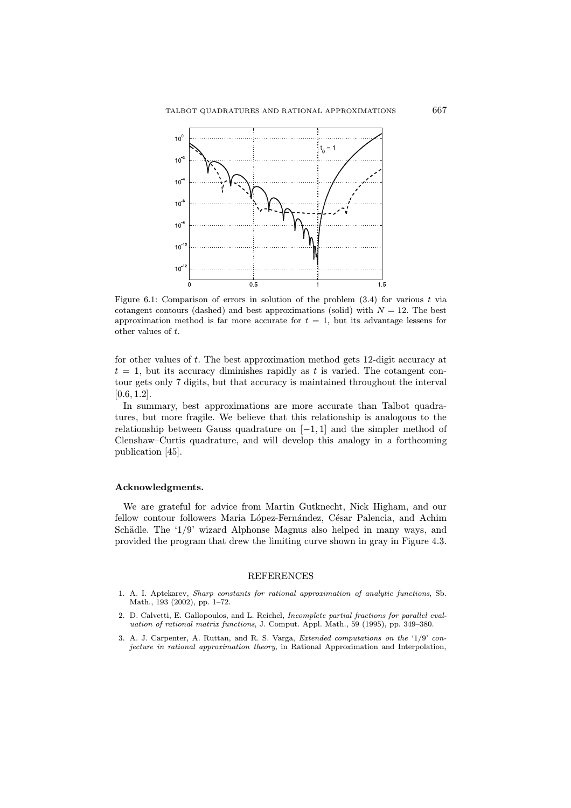

Figure 6.1: Comparison of errors in solution of the problem (3.4) for various t via cotangent contours (dashed) and best approximations (solid) with  $N = 12$ . The best approximation method is far more accurate for  $t = 1$ , but its advantage lessens for other values of t.

for other values of t. The best approximation method gets 12-digit accuracy at  $t = 1$ , but its accuracy diminishes rapidly as t is varied. The cotangent contour gets only 7 digits, but that accuracy is maintained throughout the interval  $[0.6, 1.2]$ .

In summary, best approximations are more accurate than Talbot quadratures, but more fragile. We believe that this relationship is analogous to the relationship between Gauss quadrature on  $[-1, 1]$  and the simpler method of Clenshaw–Curtis quadrature, and will develop this analogy in a forthcoming publication [45].

## Acknowledgments.

We are grateful for advice from Martin Gutknecht, Nick Higham, and our fellow contour followers Maria López-Fernández, César Palencia, and Achim Schädle. The '1/9' wizard Alphonse Magnus also helped in many ways, and provided the program that drew the limiting curve shown in gray in Figure 4.3.

#### REFERENCES

- 1. A. I. Aptekarev, Sharp constants for rational approximation of analytic functions, Sb. Math., 193 (2002), pp. 1–72.
- 2. D. Calvetti, E. Gallopoulos, and L. Reichel, Incomplete partial fractions for parallel evaluation of rational matrix functions, J. Comput. Appl. Math., 59 (1995), pp. 349–380.
- 3. A. J. Carpenter, A. Ruttan, and R. S. Varga, Extended computations on the '1/9' conjecture in rational approximation theory, in Rational Approximation and Interpolation,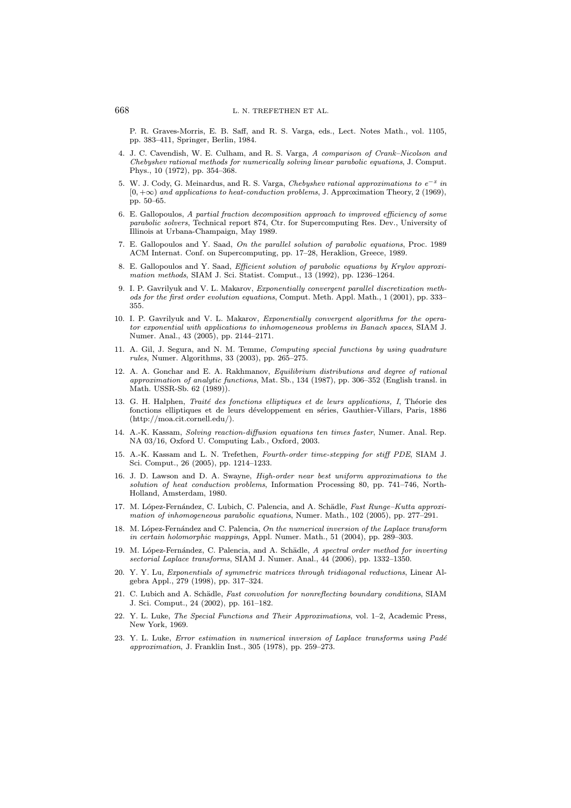P. R. Graves-Morris, E. B. Saff, and R. S. Varga, eds., Lect. Notes Math., vol. 1105, pp. 383–411, Springer, Berlin, 1984.

- 4. J. C. Cavendish, W. E. Culham, and R. S. Varga, A comparison of Crank–Nicolson and Chebyshev rational methods for numerically solving linear parabolic equations, J. Comput. Phys., 10 (1972), pp. 354–368.
- 5. W. J. Cody, G. Meinardus, and R. S. Varga, Chebyshev rational approximations to  $e^{-x}$  in  $[0, +\infty)$  and applications to heat-conduction problems, J. Approximation Theory, 2 (1969), pp. 50–65.
- 6. E. Gallopoulos, A partial fraction decomposition approach to improved efficiency of some parabolic solvers, Technical report 874, Ctr. for Supercomputing Res. Dev., University of Illinois at Urbana-Champaign, May 1989.
- 7. E. Gallopoulos and Y. Saad, On the parallel solution of parabolic equations, Proc. 1989 ACM Internat. Conf. on Supercomputing, pp. 17–28, Heraklion, Greece, 1989.
- 8. E. Gallopoulos and Y. Saad, Efficient solution of parabolic equations by Krylov approximation methods, SIAM J. Sci. Statist. Comput., 13 (1992), pp. 1236–1264.
- 9. I. P. Gavrilyuk and V. L. Makarov, Exponentially convergent parallel discretization methods for the first order evolution equations, Comput. Meth. Appl. Math., 1 (2001), pp. 333– 355.
- 10. I. P. Gavrilyuk and V. L. Makarov, Exponentially convergent algorithms for the operator exponential with applications to inhomogeneous problems in Banach spaces, SIAM J. Numer. Anal., 43 (2005), pp. 2144–2171.
- 11. A. Gil, J. Segura, and N. M. Temme, Computing special functions by using quadrature rules, Numer. Algorithms, 33 (2003), pp. 265–275.
- 12. A. A. Gonchar and E. A. Rakhmanov, Equilibrium distributions and degree of rational approximation of analytic functions, Mat. Sb., 134 (1987), pp. 306–352 (English transl. in Math. USSR-Sb. 62 (1989)).
- 13. G. H. Halphen, Traité des fonctions elliptiques et de leurs applications, I, Théorie des fonctions elliptiques et de leurs développement en séries, Gauthier-Villars, Paris, 1886 (http://moa.cit.cornell.edu/).
- 14. A.-K. Kassam, Solving reaction-diffusion equations ten times faster, Numer. Anal. Rep. NA 03/16, Oxford U. Computing Lab., Oxford, 2003.
- 15. A.-K. Kassam and L. N. Trefethen, Fourth-order time-stepping for stiff PDE, SIAM J. Sci. Comput., 26 (2005), pp. 1214–1233.
- 16. J. D. Lawson and D. A. Swayne, High-order near best uniform approximations to the solution of heat conduction problems, Information Processing 80, pp. 741–746, North-Holland, Amsterdam, 1980.
- 17. M. López-Fernández, C. Lubich, C. Palencia, and A. Schädle, Fast Runge–Kutta approximation of inhomogeneous parabolic equations, Numer. Math., 102 (2005), pp. 277–291.
- 18. M. López-Fernández and C. Palencia, On the numerical inversion of the Laplace transform in certain holomorphic mappings, Appl. Numer. Math., 51 (2004), pp. 289–303.
- 19. M. López-Fernández, C. Palencia, and A. Schädle, A spectral order method for inverting sectorial Laplace transforms, SIAM J. Numer. Anal., 44 (2006), pp. 1332–1350.
- 20. Y. Y. Lu, Exponentials of symmetric matrices through tridiagonal reductions, Linear Algebra Appl., 279 (1998), pp. 317–324.
- 21. C. Lubich and A. Schädle, Fast convolution for nonreflecting boundary conditions, SIAM J. Sci. Comput., 24 (2002), pp. 161–182.
- 22. Y. L. Luke, The Special Functions and Their Approximations, vol. 1–2, Academic Press, New York, 1969.
- 23. Y. L. Luke, Error estimation in numerical inversion of Laplace transforms using Padé approximation, J. Franklin Inst., 305 (1978), pp. 259–273.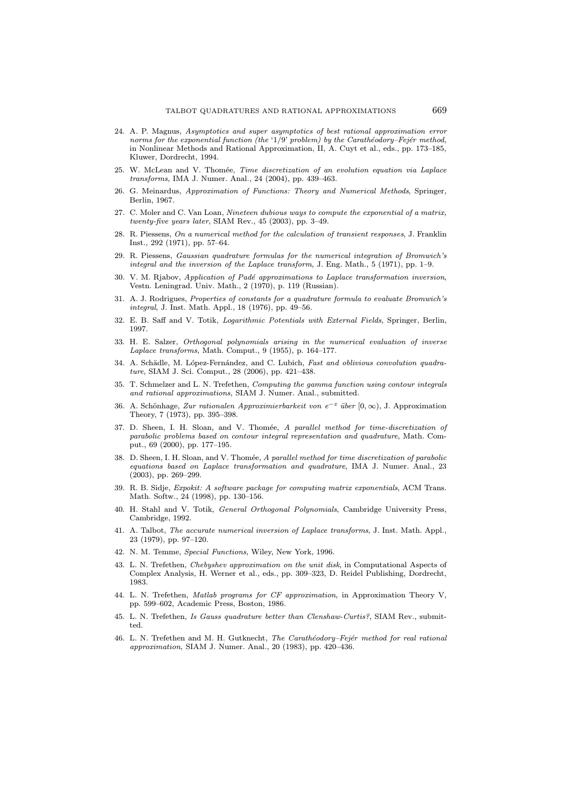- 24. A. P. Magnus, Asymptotics and super asymptotics of best rational approximation error norms for the exponential function (the '1/9' problem) by the Carathéodory–Fejér method, in Nonlinear Methods and Rational Approximation, II, A. Cuyt et al., eds., pp. 173–185, Kluwer, Dordrecht, 1994.
- 25. W. McLean and V. Thomée, Time discretization of an evolution equation via Laplace transforms, IMA J. Numer. Anal., 24 (2004), pp. 439–463.
- 26. G. Meinardus, Approximation of Functions: Theory and Numerical Methods, Springer, Berlin, 1967.
- 27. C. Moler and C. Van Loan, Nineteen dubious ways to compute the exponential of a matrix, twenty-five years later, SIAM Rev., 45 (2003), pp. 3–49.
- 28. R. Piessens, On a numerical method for the calculation of transient responses, J. Franklin Inst., 292 (1971), pp. 57–64.
- 29. R. Piessens, Gaussian quadrature formulas for the numerical integration of Bromwich's integral and the inversion of the Laplace transform, J. Eng. Math., 5 (1971), pp. 1–9.
- 30. V. M. Rjabov, Application of Padé approximations to Laplace transformation inversion, Vestn. Leningrad. Univ. Math., 2 (1970), p. 119 (Russian).
- 31. A. J. Rodrigues, Properties of constants for a quadrature formula to evaluate Bromwich's integral, J. Inst. Math. Appl., 18 (1976), pp. 49–56.
- 32. E. B. Saff and V. Totik, Logarithmic Potentials with External Fields, Springer, Berlin, 1997.
- 33. H. E. Salzer, Orthogonal polynomials arising in the numerical evaluation of inverse Laplace transforms, Math. Comput., 9 (1955), p. 164–177.
- 34. A. Schädle, M. López-Fernández, and C. Lubich, Fast and oblivious convolution quadrature, SIAM J. Sci. Comput., 28 (2006), pp. 421–438.
- 35. T. Schmelzer and L. N. Trefethen, Computing the gamma function using contour integrals and rational approximations, SIAM J. Numer. Anal., submitted.
- 36. A. Schönhage, Zur rationalen Approximierbarkeit von e<sup>-x</sup> über [0, ∞), J. Approximation Theory, 7 (1973), pp. 395–398.
- 37. D. Sheen, I. H. Sloan, and V. Thomée, A parallel method for time-discretization of parabolic problems based on contour integral representation and quadrature, Math. Comput., 69 (2000), pp. 177–195.
- 38. D. Sheen, I. H. Sloan, and V. Thomée, A parallel method for time discretization of parabolic equations based on Laplace transformation and quadrature, IMA J. Numer. Anal., 23 (2003), pp. 269–299.
- 39. R. B. Sidje, Expokit: A software package for computing matrix exponentials, ACM Trans. Math. Softw., 24 (1998), pp. 130–156.
- 40. H. Stahl and V. Totik, General Orthogonal Polynomials, Cambridge University Press, Cambridge, 1992.
- 41. A. Talbot, The accurate numerical inversion of Laplace transforms, J. Inst. Math. Appl., 23 (1979), pp. 97–120.
- 42. N. M. Temme, Special Functions, Wiley, New York, 1996.
- 43. L. N. Trefethen, Chebyshev approximation on the unit disk, in Computational Aspects of Complex Analysis, H. Werner et al., eds., pp. 309–323, D. Reidel Publishing, Dordrecht, 1983.
- 44. L. N. Trefethen, Matlab programs for CF approximation, in Approximation Theory V, pp. 599–602, Academic Press, Boston, 1986.
- 45. L. N. Trefethen, Is Gauss quadrature better than Clenshaw-Curtis?, SIAM Rev., submitted.
- 46. L. N. Trefethen and M. H. Gutknecht, The Carathéodory–Fejér method for real rational approximation, SIAM J. Numer. Anal., 20 (1983), pp. 420–436.